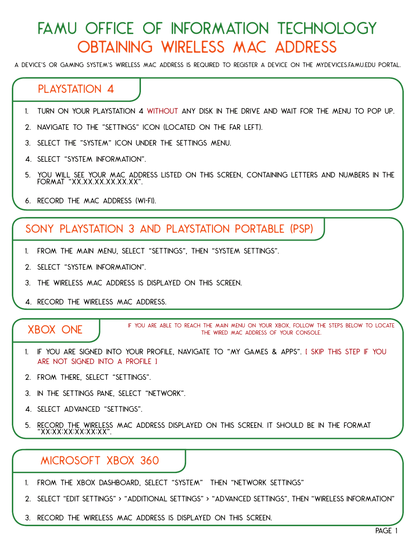# FAMU OFFICE OF INFORMATION TECHNOLOGY Obtaining Wireless MAC ADDRESS

A device's or gaming system's wireless mac address is required to register a device on the mydevices.famu.edu portal.

## PLAYSTATION 4

- 1. Turn on your Playstation 4 without any disk in the drive and wait for the menu to pop up.
- 2. Navigate to the "Settings" icon (located on the far left).
- 3. Select the "System" icon under the Settings menu.
- 4. Select "System Information".
- 5. You will see your MAC address listed on this screen, containing letters and numbers in the format "xx.xx.xx.xx.xx.xx".
- 6. Record the MAC address (Wi-Fi).

## Sony Playstation 3 and Playstation Portable (PSP)

- 1. From the Main Menu, select "Settings", then "System Settings".
- 2. Select "System Information".
- 3. The wireless MAC address is displayed on this screen.
- 4. Record the wireless MAC address.

#### Xbox One

If you are able to reach the main menu on your Xbox, follow the steps below to locate the wired MAC address of your console.

- 1. If you are signed into your profile, navigate to "My Games & Apps". [ Skip this step if you are not signed into a profile ]
- 2. From there, select "Settings".
- 3. In the settings pane, select "Network".
- 4. Select Advanced "Settings".
- 5. Record the Wireless MAC address displayed on this screen. It should be in the format "xx:xx:xx:xx:xx:xx".

#### Microsoft Xbox 360

- 1. From the XBox Dashboard, select "System" then "Network Settings"
- 2. Select "Edit Settings" > "Additional Settings" > "Advanced Settings", then "Wireless Information"
- 3. Record the wireless MAC address is displayed on this screen.